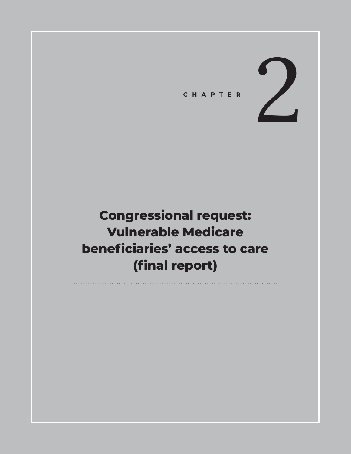

# **Congressional request: Vulnerable Medicare beneficiaries' access to care (final report)**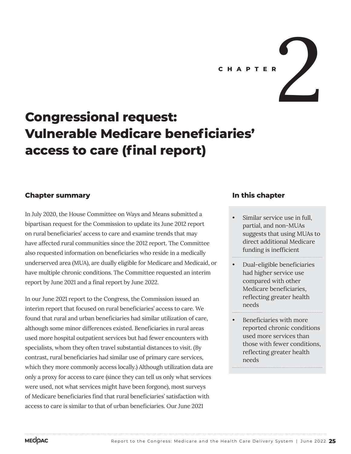**C H A P T E R** 2

# **Congressional request: Vulnerable Medicare beneficiaries' access to care (final report)**

## **Chapter summary**

In July 2020, the House Committee on Ways and Means submitted a bipartisan request for the Commission to update its June 2012 report on rural beneficiaries' access to care and examine trends that may have affected rural communities since the 2012 report. The Committee also requested information on beneficiaries who reside in a medically underserved area (MUA), are dually eligible for Medicare and Medicaid, or have multiple chronic conditions. The Committee requested an interim report by June 2021 and a final report by June 2022.

In our June 2021 report to the Congress, the Commission issued an interim report that focused on rural beneficiaries' access to care. We found that rural and urban beneficiaries had similar utilization of care, although some minor differences existed. Beneficiaries in rural areas used more hospital outpatient services but had fewer encounters with specialists, whom they often travel substantial distances to visit. (By contrast, rural beneficiaries had similar use of primary care services, which they more commonly access locally.) Although utilization data are only a proxy for access to care (since they can tell us only what services were used, not what services might have been forgone), most surveys of Medicare beneficiaries find that rural beneficiaries' satisfaction with access to care is similar to that of urban beneficiaries. Our June 2021

## **In this chapter**

- Similar service use in full, partial, and non-MUAs suggests that using MUAs to direct additional Medicare funding is inefficient
- Dual-eligible beneficiaries had higher service use compared with other Medicare beneficiaries, reflecting greater health needs
- Beneficiaries with more reported chronic conditions used more services than those with fewer conditions, reflecting greater health needs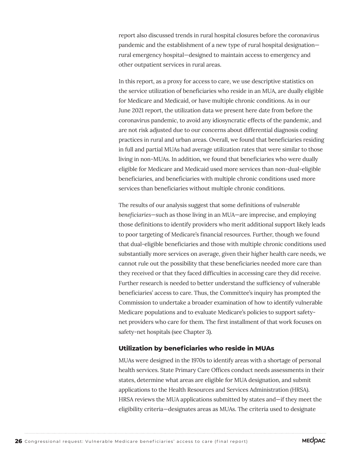report also discussed trends in rural hospital closures before the coronavirus pandemic and the establishment of a new type of rural hospital designation rural emergency hospital—designed to maintain access to emergency and other outpatient services in rural areas.

In this report, as a proxy for access to care, we use descriptive statistics on the service utilization of beneficiaries who reside in an MUA, are dually eligible for Medicare and Medicaid, or have multiple chronic conditions. As in our June 2021 report, the utilization data we present here date from before the coronavirus pandemic, to avoid any idiosyncratic effects of the pandemic, and are not risk adjusted due to our concerns about differential diagnosis coding practices in rural and urban areas. Overall, we found that beneficiaries residing in full and partial MUAs had average utilization rates that were similar to those living in non-MUAs. In addition, we found that beneficiaries who were dually eligible for Medicare and Medicaid used more services than non-dual-eligible beneficiaries, and beneficiaries with multiple chronic conditions used more services than beneficiaries without multiple chronic conditions.

The results of our analysis suggest that some definitions of *vulnerable beneficiaries*—such as those living in an MUA—are imprecise, and employing those definitions to identify providers who merit additional support likely leads to poor targeting of Medicare's financial resources. Further, though we found that dual-eligible beneficiaries and those with multiple chronic conditions used substantially more services on average, given their higher health care needs, we cannot rule out the possibility that these beneficiaries needed more care than they received or that they faced difficulties in accessing care they did receive. Further research is needed to better understand the sufficiency of vulnerable beneficiaries' access to care. Thus, the Committee's inquiry has prompted the Commission to undertake a broader examination of how to identify vulnerable Medicare populations and to evaluate Medicare's policies to support safetynet providers who care for them. The first installment of that work focuses on safety-net hospitals (see Chapter 3).

## **Utilization by beneficiaries who reside in MUAs**

MUAs were designed in the 1970s to identify areas with a shortage of personal health services. State Primary Care Offices conduct needs assessments in their states, determine what areas are eligible for MUA designation, and submit applications to the Health Resources and Services Administration (HRSA). HRSA reviews the MUA applications submitted by states and—if they meet the eligibility criteria—designates areas as MUAs. The criteria used to designate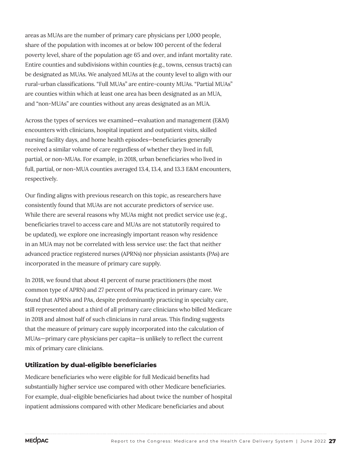areas as MUAs are the number of primary care physicians per 1,000 people, share of the population with incomes at or below 100 percent of the federal poverty level, share of the population age 65 and over, and infant mortality rate. Entire counties and subdivisions within counties (e.g., towns, census tracts) can be designated as MUAs. We analyzed MUAs at the county level to align with our rural-urban classifications. "Full MUAs" are entire-county MUAs. "Partial MUAs" are counties within which at least one area has been designated as an MUA, and "non-MUAs" are counties without any areas designated as an MUA.

Across the types of services we examined—evaluation and management (E&M) encounters with clinicians, hospital inpatient and outpatient visits, skilled nursing facility days, and home health episodes—beneficiaries generally received a similar volume of care regardless of whether they lived in full, partial, or non-MUAs. For example, in 2018, urban beneficiaries who lived in full, partial, or non-MUA counties averaged 13.4, 13.4, and 13.3 E&M encounters, respectively.

Our finding aligns with previous research on this topic, as researchers have consistently found that MUAs are not accurate predictors of service use. While there are several reasons why MUAs might not predict service use (e.g., beneficiaries travel to access care and MUAs are not statutorily required to be updated), we explore one increasingly important reason why residence in an MUA may not be correlated with less service use: the fact that neither advanced practice registered nurses (APRNs) nor physician assistants (PAs) are incorporated in the measure of primary care supply.

In 2018, we found that about 41 percent of nurse practitioners (the most common type of APRN) and 27 percent of PAs practiced in primary care. We found that APRNs and PAs, despite predominantly practicing in specialty care, still represented about a third of all primary care clinicians who billed Medicare in 2018 and almost half of such clinicians in rural areas. This finding suggests that the measure of primary care supply incorporated into the calculation of MUAs—primary care physicians per capita—is unlikely to reflect the current mix of primary care clinicians.

## **Utilization by dual-eligible beneficiaries**

Medicare beneficiaries who were eligible for full Medicaid benefits had substantially higher service use compared with other Medicare beneficiaries. For example, dual-eligible beneficiaries had about twice the number of hospital inpatient admissions compared with other Medicare beneficiaries and about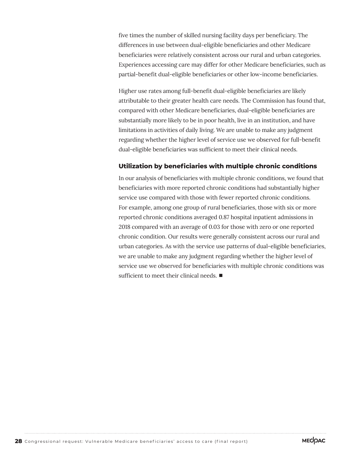five times the number of skilled nursing facility days per beneficiary. The differences in use between dual-eligible beneficiaries and other Medicare beneficiaries were relatively consistent across our rural and urban categories. Experiences accessing care may differ for other Medicare beneficiaries, such as partial-benefit dual-eligible beneficiaries or other low-income beneficiaries.

Higher use rates among full-benefit dual-eligible beneficiaries are likely attributable to their greater health care needs. The Commission has found that, compared with other Medicare beneficiaries, dual-eligible beneficiaries are substantially more likely to be in poor health, live in an institution, and have limitations in activities of daily living. We are unable to make any judgment regarding whether the higher level of service use we observed for full-benefit dual-eligible beneficiaries was sufficient to meet their clinical needs.

#### **Utilization by beneficiaries with multiple chronic conditions**

In our analysis of beneficiaries with multiple chronic conditions, we found that beneficiaries with more reported chronic conditions had substantially higher service use compared with those with fewer reported chronic conditions. For example, among one group of rural beneficiaries, those with six or more reported chronic conditions averaged 0.87 hospital inpatient admissions in 2018 compared with an average of 0.03 for those with zero or one reported chronic condition. Our results were generally consistent across our rural and urban categories. As with the service use patterns of dual-eligible beneficiaries, we are unable to make any judgment regarding whether the higher level of service use we observed for beneficiaries with multiple chronic conditions was sufficient to meet their clinical needs. ■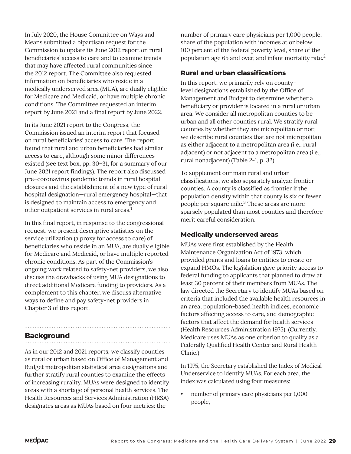In July 2020, the House Committee on Ways and Means submitted a bipartisan request for the Commission to update its June 2012 report on rural beneficiaries' access to care and to examine trends that may have affected rural communities since the 2012 report. The Committee also requested information on beneficiaries who reside in a medically underserved area (MUA), are dually eligible for Medicare and Medicaid, or have multiple chronic conditions. The Committee requested an interim report by June 2021 and a final report by June 2022.

In its June 2021 report to the Congress, the Commission issued an interim report that focused on rural beneficiaries' access to care. The report found that rural and urban beneficiaries had similar access to care, although some minor differences existed (see text box, pp. 30–31, for a summary of our June 2021 report findings). The report also discussed pre–coronavirus pandemic trends in rural hospital closures and the establishment of a new type of rural hospital designation—rural emergency hospital—that is designed to maintain access to emergency and other outpatient services in rural areas.<sup>1</sup>

In this final report, in response to the congressional request, we present descriptive statistics on the service utilization (a proxy for access to care) of beneficiaries who reside in an MUA, are dually eligible for Medicare and Medicaid, or have multiple reported chronic conditions. As part of the Commission's ongoing work related to safety-net providers, we also discuss the drawbacks of using MUA designations to direct additional Medicare funding to providers. As a complement to this chapter, we discuss alternative ways to define and pay safety-net providers in Chapter 3 of this report.

## **Background**

As in our 2012 and 2021 reports, we classify counties as rural or urban based on Office of Management and Budget metropolitan statistical area designations and further stratify rural counties to examine the effects of increasing rurality. MUAs were designed to identify areas with a shortage of personal health services. The Health Resources and Services Administration (HRSA) designates areas as MUAs based on four metrics: the

number of primary care physicians per 1,000 people, share of the population with incomes at or below 100 percent of the federal poverty level, share of the population age 65 and over, and infant mortality rate.<sup>2</sup>

## **Rural and urban classifications**

In this report, we primarily rely on countylevel designations established by the Office of Management and Budget to determine whether a beneficiary or provider is located in a rural or urban area. We consider all metropolitan counties to be urban and all other counties rural. We stratify rural counties by whether they are micropolitan or not; we describe rural counties that are not micropolitan as either adjacent to a metropolitan area (i.e., rural adjacent) or not adjacent to a metropolitan area (i.e., rural nonadjacent) (Table 2-1, p. 32).

To supplement our main rural and urban classifications, we also separately analyze frontier counties. A county is classified as frontier if the population density within that county is six or fewer people per square mile.<sup>3</sup> These areas are more sparsely populated than most counties and therefore merit careful consideration.

## **Medically underserved areas**

MUAs were first established by the Health Maintenance Organization Act of 1973, which provided grants and loans to entities to create or expand HMOs. The legislation gave priority access to federal funding to applicants that planned to draw at least 30 percent of their members from MUAs. The law directed the Secretary to identify MUAs based on criteria that included the available health resources in an area, population-based health indices, economic factors affecting access to care, and demographic factors that affect the demand for health services (Health Resources Administration 1975). (Currently, Medicare uses MUAs as one criterion to qualify as a Federally Qualified Health Center and Rural Health Clinic.)

In 1975, the Secretary established the Index of Medical Underservice to identify MUAs. For each area, the index was calculated using four measures:

number of primary care physicians per 1,000 people,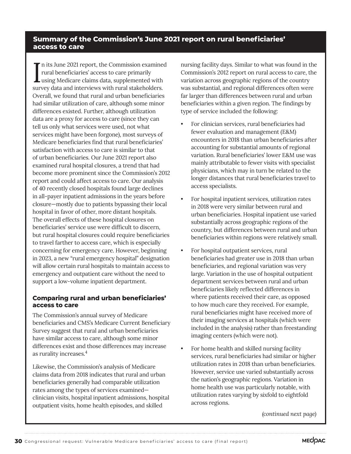## **Summary of the Commission's June 2021 report on rural beneficiaries' access to care**

In its June 2021 report, the Commission examined<br>
rural beneficiaries' access to care primarily<br>
using Medicare claims data, supplemented with n its June 2021 report, the Commission examined rural beneficiaries' access to care primarily survey data and interviews with rural stakeholders. Overall, we found that rural and urban beneficiaries had similar utilization of care, although some minor differences existed. Further, although utilization data are a proxy for access to care (since they can tell us only what services were used, not what services might have been forgone), most surveys of Medicare beneficiaries find that rural beneficiaries' satisfaction with access to care is similar to that of urban beneficiaries. Our June 2021 report also examined rural hospital closures, a trend that had become more prominent since the Commission's 2012 report and could affect access to care. Our analysis of 40 recently closed hospitals found large declines in all-payer inpatient admissions in the years before closure—mostly due to patients bypassing their local hospital in favor of other, more distant hospitals. The overall effects of these hospital closures on beneficiaries' service use were difficult to discern, but rural hospital closures could require beneficiaries to travel farther to access care, which is especially concerning for emergency care. However, beginning in 2023, a new "rural emergency hospital" designation will allow certain rural hospitals to maintain access to emergency and outpatient care without the need to support a low-volume inpatient department.

## **Comparing rural and urban beneficiaries' access to care**

The Commission's annual survey of Medicare beneficiaries and CMS's Medicare Current Beneficiary Survey suggest that rural and urban beneficiaries have similar access to care, although some minor differences exist and those differences may increase as rurality increases.4

Likewise, the Commission's analysis of Medicare claims data from 2018 indicates that rural and urban beneficiaries generally had comparable utilization rates among the types of services examined clinician visits, hospital inpatient admissions, hospital outpatient visits, home health episodes, and skilled

nursing facility days. Similar to what was found in the Commission's 2012 report on rural access to care, the variation across geographic regions of the country was substantial, and regional differences often were far larger than differences between rural and urban beneficiaries within a given region. The findings by type of service included the following:

- For clinician services, rural beneficiaries had fewer evaluation and management (E&M) encounters in 2018 than urban beneficiaries after accounting for substantial amounts of regional variation. Rural beneficiaries' lower E&M use was mainly attributable to fewer visits with specialist physicians, which may in turn be related to the longer distances that rural beneficiaries travel to access specialists.
- For hospital inpatient services, utilization rates in 2018 were very similar between rural and urban beneficiaries. Hospital inpatient use varied substantially across geographic regions of the country, but differences between rural and urban beneficiaries within regions were relatively small.
- For hospital outpatient services, rural beneficiaries had greater use in 2018 than urban beneficiaries, and regional variation was very large. Variation in the use of hospital outpatient department services between rural and urban beneficiaries likely reflected differences in where patients received their care, as opposed to how much care they received. For example, rural beneficiaries might have received more of their imaging services at hospitals (which were included in the analysis) rather than freestanding imaging centers (which were not).
- For home health and skilled nursing facility services, rural beneficiaries had similar or higher utilization rates in 2018 than urban beneficiaries. However, service use varied substantially across the nation's geographic regions. Variation in home health use was particularly notable, with utilization rates varying by sixfold to eightfold across regions.

*(continued next page)*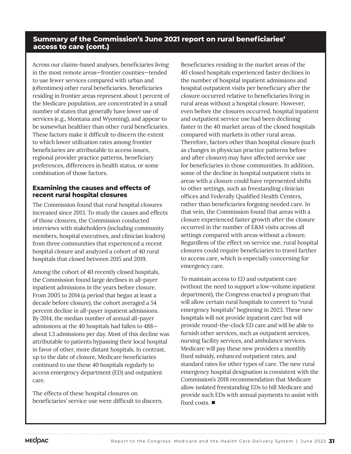## **Summary of the Commission's June 2021 report on rural beneficiaries' access to care (cont.)**

Across our claims-based analyses, beneficiaries living in the most remote areas—frontier counties—tended to use fewer services compared with urban and (oftentimes) other rural beneficiaries. Beneficiaries residing in frontier areas represent about 1 percent of the Medicare population, are concentrated in a small number of states that generally have lower use of services (e.g., Montana and Wyoming), and appear to be somewhat healthier than other rural beneficiaries. These factors make it difficult to discern the extent to which lower utilization rates among frontier beneficiaries are attributable to access issues, regional provider practice patterns, beneficiary preferences, differences in health status, or some combination of those factors.

## **Examining the causes and effects of recent rural hospital closures**

The Commission found that rural hospital closures increased since 2013. To study the causes and effects of those closures, the Commission conducted interviews with stakeholders (including community members, hospital executives, and clinician leaders) from three communities that experienced a recent hospital closure and analyzed a cohort of 40 rural hospitals that closed between 2015 and 2019.

Among the cohort of 40 recently closed hospitals, the Commission found large declines in all-payer inpatient admissions in the years before closure. From 2005 to 2014 (a period that began at least a decade before closure), the cohort averaged a 54 percent decline in all-payer inpatient admissions. By 2014, the median number of annual all-payer admissions at the 40 hospitals had fallen to 488 about 1.3 admissions per day. Most of this decline was attributable to patients bypassing their local hospital in favor of other, more distant hospitals. In contrast, up to the date of closure, Medicare beneficiaries continued to use these 40 hospitals regularly to access emergency department (ED) and outpatient care.

The effects of these hospital closures on beneficiaries' service use were difficult to discern.

Beneficiaries residing in the market areas of the 40 closed hospitals experienced faster declines in the number of hospital inpatient admissions and hospital outpatient visits per beneficiary after the closure occurred relative to beneficiaries living in rural areas without a hospital closure. However, even before the closures occurred, hospital inpatient and outpatient service use had been declining faster in the 40 market areas of the closed hospitals compared with markets in other rural areas. Therefore, factors other than hospital closure (such as changes in physician practice patterns before and after closure) may have affected service use for beneficiaries in those communities. In addition, some of the decline in hospital outpatient visits in areas with a closure could have represented shifts to other settings, such as freestanding clinician offices and Federally Qualified Health Centers, rather than beneficiaries forgoing needed care. In that vein, the Commission found that areas with a closure experienced faster growth after the closure occurred in the number of E&M visits across all settings compared with areas without a closure. Regardless of the effect on service use, rural hospital closures could require beneficiaries to travel farther to access care, which is especially concerning for emergency care.

To maintain access to ED and outpatient care (without the need to support a low-volume inpatient department), the Congress enacted a program that will allow certain rural hospitals to convert to "rural emergency hospitals" beginning in 2023. These new hospitals will not provide inpatient care but will provide round-the-clock ED care and will be able to furnish other services, such as outpatient services, nursing facility services, and ambulance services. Medicare will pay these new providers a monthly fixed subsidy, enhanced outpatient rates, and standard rates for other types of care. The new rural emergency hospital designation is consistent with the Commission's 2018 recommendation that Medicare allow isolated freestanding EDs to bill Medicare and provide such EDs with annual payments to assist with fixed costs. ■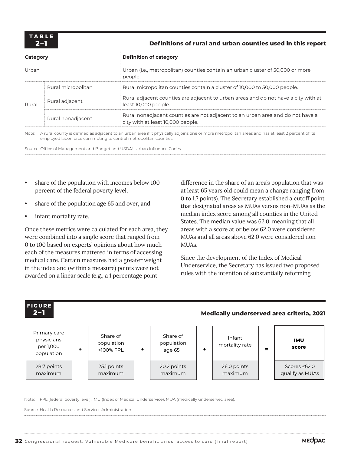**2–1 Definitions of rural and urban counties used in this report** 

| Category<br>Urban |                    | <b>Definition of category</b>                                                                                       |  |  |  |
|-------------------|--------------------|---------------------------------------------------------------------------------------------------------------------|--|--|--|
|                   |                    | Urban (i.e., metropolitan) counties contain an urban cluster of 50,000 or more<br>people.                           |  |  |  |
|                   | Rural micropolitan | Rural micropolitan counties contain a cluster of 10,000 to 50,000 people.                                           |  |  |  |
| Rural             | Rural adjacent     | Rural adjacent counties are adjacent to urban areas and do not have a city with at<br>least 10,000 people.          |  |  |  |
|                   | Rural nonadjacent  | Rural nonadjacent counties are not adjacent to an urban area and do not have a<br>city with at least 10,000 people. |  |  |  |

Note: A rural county is defined as adjacent to an urban area if it physically adjoins one or more metropolitan areas and has at least 2 percent of its employed labor force commuting to central metropolitan counties.

Source: Office of Management and Budget and USDA's Urban Influence Codes.

÷

- share of the population with incomes below 100 percent of the federal poverty level,
- share of the population age 65 and over, and
- infant mortality rate.

Once these metrics were calculated for each area, they were combined into a single score that ranged from 0 to 100 based on experts' opinions about how much each of the measures mattered in terms of accessing medical care. Certain measures had a greater weight in the index and (within a measure) points were not awarded on a linear scale (e.g., a 1 percentage point

difference in the share of an area's population that was at least 65 years old could mean a change ranging from 0 to 1.7 points). The Secretary established a cutoff point that designated areas as MUAs versus non-MUAs as the median index score among all counties in the United States. The median value was 62.0, meaning that all areas with a score at or below 62.0 were considered MUAs and all areas above 62.0 were considered non-MUAs.

Since the development of the Index of Medical Underservice, the Secretary has issued two proposed rules with the intention of substantially reforming



Note: FPL (federal poverty level), IMU (Index of Medical Underservice), MUA (medically underserved area).

Source: Health Resources and Services Administration.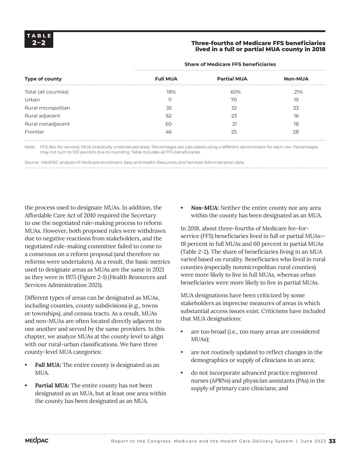### **2–2 Three-fourths of Medicare FFS beneficiaries lived in a full or partial MUA county in 2018**

| <b>Full MUA</b><br>18% | <b>Partial MUA</b><br>60%<br>70 | <b>Non-MUA</b><br>21% |
|------------------------|---------------------------------|-----------------------|
|                        |                                 |                       |
|                        |                                 |                       |
|                        |                                 | 19                    |
| 35                     | 32                              | 33                    |
| 62                     | 23                              | 16                    |
| 60                     | 21                              | 18                    |
| 46                     | 25                              | 28                    |
|                        |                                 |                       |

#### **Share of Medicare FFS beneficiaries**

Note: FFS (fee-for-service), MUA (medically underserved area). Percentages are calculated using a different denominator for each row. Percentages may not sum to 100 percent due to rounding. Table includes all FFS beneficiaries.

Source: MedPAC analysis of Medicare enrollment data and Health Resources and Services Administration data.

the process used to designate MUAs. In addition, the Affordable Care Act of 2010 required the Secretary to use the negotiated rule-making process to reform MUAs. However, both proposed rules were withdrawn due to negative reactions from stakeholders, and the negotiated rule-making committee failed to come to a consensus on a reform proposal (and therefore no reforms were undertaken). As a result, the basic metrics used to designate areas as MUAs are the same in 2021 as they were in 1975 (Figure 2-1) (Health Resources and Services Administration 2021).

Different types of areas can be designated as MUAs, including counties, county subdivisions (e.g., towns or townships), and census tracts. As a result, MUAs and non-MUAs are often located directly adjacent to one another and served by the same providers. In this chapter, we analyze MUAs at the county level to align with our rural-urban classifications. We have three county-level MUA categories:

- *• Full MUA:* The entire county is designated as an MUA.
- *• Partial MUA:* The entire county has not been designated as an MUA, but at least one area within the county has been designated as an MUA.

*• Non-MUA:* Neither the entire county nor any area within the county has been designated as an MUA.

In 2018, about three-fourths of Medicare fee-forservice (FFS) beneficiaries lived in full or partial MUAs— 18 percent in full MUAs and 60 percent in partial MUAs (Table 2-2). The share of beneficiaries living in an MUA varied based on rurality. Beneficiaries who lived in rural counties (especially nonmicropolitan rural counties) were more likely to live in full MUAs, whereas urban beneficiaries were more likely to live in partial MUAs.

MUA designations have been criticized by some stakeholders as imprecise measures of areas in which substantial access issues exist. Criticisms have included that MUA designations:

- are too broad (i.e., too many areas are considered MUAs);
- are not routinely updated to reflect changes in the demographics or supply of clinicians in an area;
- do not incorporate advanced practice registered nurses (APRNs) and physician assistants (PAs) in the supply of primary care clinicians; and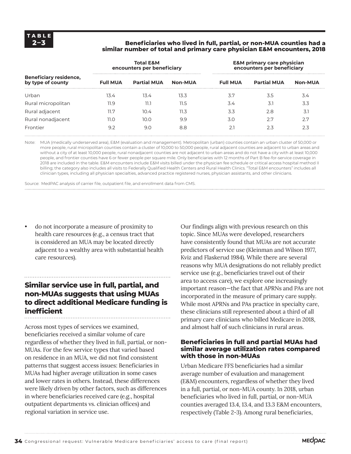### **2–3 Beneficiaries who lived in full, partial, or non-MUA counties had a similar number of total and primary care physician E&M encounters, 2018**

|                                                    |                 | <b>Total E&amp;M</b><br>encounters per beneficiary |                | <b>E&amp;M</b> primary care physician<br>encounters per beneficiary |                    |                |  |  |
|----------------------------------------------------|-----------------|----------------------------------------------------|----------------|---------------------------------------------------------------------|--------------------|----------------|--|--|
| <b>Beneficiary residence,</b><br>by type of county | <b>Full MUA</b> | <b>Partial MUA</b>                                 | <b>Non-MUA</b> | <b>Full MUA</b>                                                     | <b>Partial MUA</b> | <b>Non-MUA</b> |  |  |
| Urban                                              | 13.4            | 13.4                                               | 13.3           | 3.7                                                                 | 3.5                | 3.4            |  |  |
| Rural micropolitan                                 | 11.9            | 11.1                                               | 11.5           | 3.4                                                                 | 3.1                | 3.3            |  |  |
| Rural adjacent                                     | 11.7            | 10.4                                               | 11.3           | 3.3                                                                 | 2.8                | 3.1            |  |  |
| Rural nonadjacent                                  | 11.O            | 10.0                                               | 9.9            | 3.0                                                                 | 27                 | 2.7            |  |  |
| Frontier                                           | 9.2             | 9.0                                                | 8.8            |                                                                     | 2.3                | 2.3            |  |  |

Note: MUA (medically underserved area), E&M (evaluation and management). Metropolitan (urban) counties contain an urban cluster of 50,000 or more people, rural micropolitan counties contain a cluster of 10,000 to 50,000 people, rural adjacent counties are adjacent to urban areas and without a city of at least 10,000 people, rural nonadjacent counties are not adjacent to urban areas and do not have a city with at least 10,000 people, and frontier counties have 6 or fewer people per square mile. Only beneficiaries with 12 months of Part B fee-for-service coverage in 2018 are included in the table. E&M encounters include E&M visits billed under the physician fee schedule or critical access hospital method II billing; the category also includes all visits to Federally Qualified Health Centers and Rural Health Clinics. "Total E&M encounters" includes all clinician types, including all physician specialties, advanced practice registered nurses, physician assistants, and other clinicians.

Source: MedPAC analysis of carrier file, outpatient file, and enrollment data from CMS.

• do not incorporate a measure of proximity to health care resources (e.g., a census tract that is considered an MUA may be located directly adjacent to a wealthy area with substantial health care resources).

## **Similar service use in full, partial, and non-MUAs suggests that using MUAs to direct additional Medicare funding is inefficient**  . . . . . . . . . . . . . . . . . . .

Across most types of services we examined, beneficiaries received a similar volume of care regardless of whether they lived in full, partial, or non-MUAs. For the few service types that varied based on residence in an MUA, we did not find consistent patterns that suggest access issues: Beneficiaries in MUAs had higher average utilization in some cases and lower rates in others. Instead, these differences were likely driven by other factors, such as differences in where beneficiaries received care (e.g., hospital outpatient departments vs. clinician offices) and regional variation in service use.

Our findings align with previous research on this topic. Since MUAs were developed, researchers have consistently found that MUAs are not accurate predictors of service use (Kleinman and Wilson 1977, Kviz and Flaskerud 1984). While there are several reasons why MUA designations do not reliably predict service use (e.g., beneficiaries travel out of their area to access care), we explore one increasingly important reason—the fact that APRNs and PAs are not incorporated in the measure of primary care supply. While most APRNs and PAs practice in specialty care, these clinicians still represented about a third of all primary care clinicians who billed Medicare in 2018, and almost half of such clinicians in rural areas.

### **Beneficiaries in full and partial MUAs had similar average utilization rates compared with those in non-MUAs**

Urban Medicare FFS beneficiaries had a similar average number of evaluation and management (E&M) encounters, regardless of whether they lived in a full, partial, or non-MUA county. In 2018, urban beneficiaries who lived in full, partial, or non-MUA counties averaged 13.4, 13.4, and 13.3 E&M encounters, respectively (Table 2-3). Among rural beneficiaries,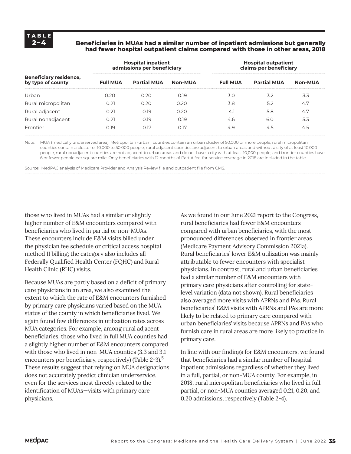#### **2–4 Beneficiaries in MUAs had a similar number of inpatient admissions but generally had fewer hospital outpatient claims compared with those in other areas, 2018**

|                                                    |                 | <b>Hospital inpatient</b><br>admissions per beneficiary |                | <b>Hospital outpatient</b><br>claims per beneficiary |                    |                |  |  |
|----------------------------------------------------|-----------------|---------------------------------------------------------|----------------|------------------------------------------------------|--------------------|----------------|--|--|
| <b>Beneficiary residence,</b><br>by type of county | <b>Full MUA</b> | <b>Partial MUA</b>                                      | <b>Non-MUA</b> | <b>Full MUA</b>                                      | <b>Partial MUA</b> | <b>Non-MUA</b> |  |  |
| Urban                                              | 0.20            | 0.20                                                    | 0.19           | 3.0                                                  | 3.2                | 3.3            |  |  |
| Rural micropolitan                                 | 0.21            | 0.20                                                    | 0.20           | 3.8                                                  | 5.2                | 4.7            |  |  |
| Rural adjacent                                     | 0.21            | 0.19                                                    | 0.20           | 4.1                                                  | 5.8                | 4.7            |  |  |
| Rural nonadjacent                                  | 0.21            | 0.19                                                    | 0.19           | 4.6                                                  | 6.0                | 5.3            |  |  |
| Frontier                                           | N 19            | 0.17                                                    | 0.17           | 4.9                                                  | 4.5                | 4.5            |  |  |

Note: MUA (medically underserved area). Metropolitan (urban) counties contain an urban cluster of 50,000 or more people, rural micropolitan counties contain a cluster of 10,000 to 50,000 people, rural adjacent counties are adjacent to urban areas and without a city of at least 10,000 people, rural nonadjacent counties are not adjacent to urban areas and do not have a city with at least 10,000 people, and frontier counties have 6 or fewer people per square mile. Only beneficiaries with 12 months of Part A fee-for-service coverage in 2018 are included in the table.

Source: MedPAC analysis of Medicare Provider and Analysis Review file and outpatient file from CMS.

those who lived in MUAs had a similar or slightly higher number of E&M encounters compared with beneficiaries who lived in partial or non-MUAs. These encounters include E&M visits billed under the physician fee schedule or critical access hospital method II billing; the category also includes all Federally Qualified Health Center (FQHC) and Rural Health Clinic (RHC) visits.

Because MUAs are partly based on a deficit of primary care physicians in an area, we also examined the extent to which the rate of E&M encounters furnished by primary care physicians varied based on the MUA status of the county in which beneficiaries lived. We again found few differences in utilization rates across MUA categories. For example, among rural adjacent beneficiaries, those who lived in full MUA counties had a slightly higher number of E&M encounters compared with those who lived in non-MUA counties (3.3 and 3.1 encounters per beneficiary, respectively) (Table 2-3).<sup>5</sup> These results suggest that relying on MUA designations does not accurately predict clinician underservice, even for the services most directly related to the identification of MUAs—visits with primary care physicians.

As we found in our June 2021 report to the Congress, rural beneficiaries had fewer E&M encounters compared with urban beneficiaries, with the most pronounced differences observed in frontier areas (Medicare Payment Advisory Commission 2021a). Rural beneficiaries' lower E&M utilization was mainly attributable to fewer encounters with specialist physicians. In contrast, rural and urban beneficiaries had a similar number of E&M encounters with primary care physicians after controlling for statelevel variation (data not shown). Rural beneficiaries also averaged more visits with APRNs and PAs. Rural beneficiaries' E&M visits with APRNs and PAs are more likely to be related to primary care compared with urban beneficiaries' visits because APRNs and PAs who furnish care in rural areas are more likely to practice in primary care.

In line with our findings for E&M encounters, we found that beneficiaries had a similar number of hospital inpatient admissions regardless of whether they lived in a full, partial, or non-MUA county. For example, in 2018, rural micropolitan beneficiaries who lived in full, partial, or non-MUA counties averaged 0.21, 0.20, and 0.20 admissions, respectively (Table 2-4).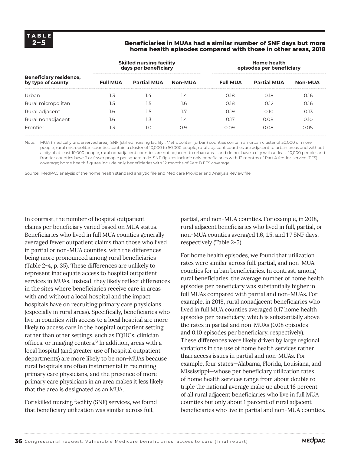#### **2–5 Beneficiaries in MUAs had a similar number of SNF days but more home health episodes compared with those in other areas, 2018**

|                                                    |                 | <b>Skilled nursing facility</b><br>days per beneficiary |                | <b>Home health</b><br>episodes per beneficiary |                    |                |  |  |
|----------------------------------------------------|-----------------|---------------------------------------------------------|----------------|------------------------------------------------|--------------------|----------------|--|--|
| <b>Beneficiary residence,</b><br>by type of county | <b>Full MUA</b> | <b>Partial MUA</b>                                      | <b>Non-MUA</b> | <b>Full MUA</b>                                | <b>Partial MUA</b> | <b>Non-MUA</b> |  |  |
| Urban                                              | 1.3             | 1.4                                                     | 1.4            | 0.18                                           | 0.18               | 0.16           |  |  |
| Rural micropolitan                                 | 1.5             | 1.5                                                     | 1.6            | 0.18                                           | 0.12               | 0.16           |  |  |
| Rural adjacent                                     | 1.6             | 1.5                                                     | 1.7            | 0.19                                           | 0.10               | 0.13           |  |  |
| Rural nonadjacent                                  | 1.6             | 1.3                                                     | 1.4            | 0.17                                           | 0.08               | 0.10           |  |  |
| Frontier                                           | .3              | 1.0                                                     | 0.9            | 0.09                                           | 0.08               | 0.05           |  |  |

Note: MUA (medically underserved area), SNF (skilled nursing facility). Metropolitan (urban) counties contain an urban cluster of 50,000 or more people, rural micropolitan counties contain a cluster of 10,000 to 50,000 people, rural adjacent counties are adjacent to urban areas and without a city of at least 10,000 people, rural nonadjacent counties are not adjacent to urban areas and do not have a city with at least 10,000 people, and frontier counties have 6 or fewer people per square mile. SNF figures include only beneficiaries with 12 months of Part A fee-for-service (FFS) coverage; home health figures include only beneficiaries with 12 months of Part B FFS coverage.

Source: MedPAC analysis of the home health standard analytic file and Medicare Provider and Analysis Review file.

In contrast, the number of hospital outpatient claims per beneficiary varied based on MUA status. Beneficiaries who lived in full MUA counties generally averaged fewer outpatient claims than those who lived in partial or non-MUA counties, with the differences being more pronounced among rural beneficiaries (Table 2-4, p. 35). These differences are unlikely to represent inadequate access to hospital outpatient services in MUAs. Instead, they likely reflect differences in the sites where beneficiaries receive care in areas with and without a local hospital and the impact hospitals have on recruiting primary care physicians (especially in rural areas). Specifically, beneficiaries who live in counties with access to a local hospital are more likely to access care in the hospital outpatient setting rather than other settings, such as FQHCs, clinician offices, or imaging centers.<sup>6</sup> In addition, areas with a local hospital (and greater use of hospital outpatient departments) are more likely to be non-MUAs because rural hospitals are often instrumental in recruiting primary care physicians, and the presence of more primary care physicians in an area makes it less likely that the area is designated as an MUA.

For skilled nursing facility (SNF) services, we found that beneficiary utilization was similar across full,

partial, and non-MUA counties. For example, in 2018, rural adjacent beneficiaries who lived in full, partial, or non-MUA counties averaged 1.6, 1.5, and 1.7 SNF days, respectively (Table 2-5).

For home health episodes, we found that utilization rates were similar across full, partial, and non-MUA counties for urban beneficiaries. In contrast, among rural beneficiaries, the average number of home health episodes per beneficiary was substantially higher in full MUAs compared with partial and non-MUAs. For example, in 2018, rural nonadjacent beneficiaries who lived in full MUA counties averaged 0.17 home health episodes per beneficiary, which is substantially above the rates in partial and non-MUAs (0.08 episodes and 0.10 episodes per beneficiary, respectively). These differences were likely driven by large regional variations in the use of home health services rather than access issues in partial and non-MUAs. For example, four states—Alabama, Florida, Louisiana, and Mississippi—whose per beneficiary utilization rates of home health services range from about double to triple the national average make up about 16 percent of all rural adjacent beneficiaries who live in full MUA counties but only about 1 percent of rural adjacent beneficiaries who live in partial and non-MUA counties.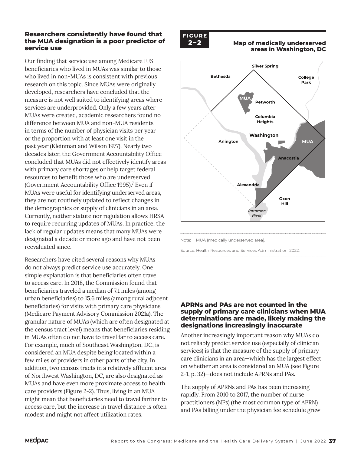### **Researchers consistently have found that the MUA designation is a poor predictor of service use**

Our finding that service use among Medicare FFS beneficiaries who lived in MUAs was similar to those who lived in non-MUAs is consistent with previous research on this topic. Since MUAs were originally developed, researchers have concluded that the measure is not well suited to identifying areas where services are underprovided. Only a few years after MUAs were created, academic researchers found no difference between MUA and non-MUA residents in terms of the number of physician visits per year or the proportion with at least one visit in the past year (Kleinman and Wilson 1977). Nearly two decades later, the Government Accountability Office concluded that MUAs did not effectively identify areas with primary care shortages or help target federal resources to benefit those who are underserved (Government Accountability Office 1995).<sup>7</sup> Even if MUAs were useful for identifying underserved areas, they are not routinely updated to reflect changes in the demographics or supply of clinicians in an area. Currently, neither statute nor regulation allows HRSA to require recurring updates of MUAs. In practice, the lack of regular updates means that many MUAs were designated a decade or more ago and have not been reevaluated since.

Researchers have cited several reasons why MUAs do not always predict service use accurately. One simple explanation is that beneficiaries often travel to access care. In 2018, the Commission found that beneficiaries traveled a median of 7.1 miles (among urban beneficiaries) to 15.6 miles (among rural adjacent beneficiaries) for visits with primary care physicians (Medicare Payment Advisory Commission 2021a). The granular nature of MUAs (which are often designated at the census tract level) means that beneficiaries residing in MUAs often do not have to travel far to access care. For example, much of Southeast Washington, DC, is considered an MUA despite being located within a few miles of providers in other parts of the city. In addition, two census tracts in a relatively affluent area of Northwest Washington, DC, are also designated as MUAs and have even more proximate access to health care providers (Figure 2-2). Thus, living in an MUA might mean that beneficiaries need to travel farther to access care, but the increase in travel distance is often modest and might not affect utilization rates.



#### **2–2 Map of medically underserved areas in Washington, DC**



Note: MUA (medically underserved area).

Source: Health Resources and Services Administration, 2022.

### APRNs and PAs are not counted in the **supply of primary care clinicians when MUA determinations are made, likely making the designations increasingly inaccurate**

Another increasingly important reason why MUAs do not reliably predict service use (especially of clinician services) is that the measure of the supply of primary care clinicians in an area—which has the largest effect on whether an area is considered an MUA (see Figure 2-1, p. 32)—does not include APRNs and PAs.

The supply of APRNs and PAs has been increasing rapidly. From 2010 to 2017, the number of nurse practitioners (NPs) (the most common type of APRN) and PAs billing under the physician fee schedule grew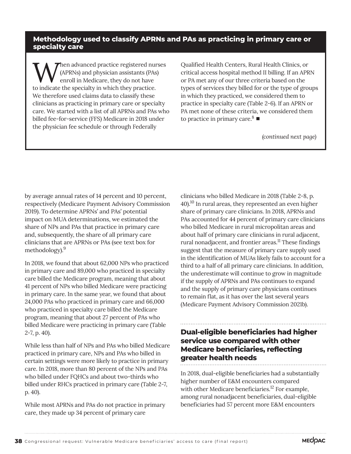## **Methodology used to classify APRNs and PAs as practicing in primary care or specialty care**

hen advanced practice registered nurses (APRNs) and physician assistants (PAs) enroll in Medicare, they do not have to indicate the specialty in which they practice. We therefore used claims data to classify these clinicians as practicing in primary care or specialty care. We started with a list of all APRNs and PAs who billed fee-for-service (FFS) Medicare in 2018 under the physician fee schedule or through Federally

Qualified Health Centers, Rural Health Clinics, or critical access hospital method II billing. If an APRN or PA met any of our three criteria based on the types of services they billed for or the type of groups in which they practiced, we considered them to practice in specialty care (Table 2-6). If an APRN or PA met none of these criteria, we considered them to practice in primary care. $8 \blacksquare$ 

*(continued next page)*

by average annual rates of 14 percent and 10 percent, respectively (Medicare Payment Advisory Commission 2019). To determine APRNs' and PAs' potential impact on MUA determinations, we estimated the share of NPs and PAs that practice in primary care and, subsequently, the share of all primary care clinicians that are APRNs or PAs (see text box for methodology).<sup>9</sup>

In 2018, we found that about 62,000 NPs who practiced in primary care and 89,000 who practiced in specialty care billed the Medicare program, meaning that about 41 percent of NPs who billed Medicare were practicing in primary care. In the same year, we found that about 24,000 PAs who practiced in primary care and 66,000 who practiced in specialty care billed the Medicare program, meaning that about 27 percent of PAs who billed Medicare were practicing in primary care (Table 2-7, p. 40).

While less than half of NPs and PAs who billed Medicare practiced in primary care, NPs and PAs who billed in certain settings were more likely to practice in primary care. In 2018, more than 80 percent of the NPs and PAs who billed under FQHCs and about two-thirds who billed under RHCs practiced in primary care (Table 2-7, p. 40).

While most APRNs and PAs do not practice in primary care, they made up 34 percent of primary care

clinicians who billed Medicare in 2018 (Table 2-8, p. 40).10 In rural areas, they represented an even higher share of primary care clinicians. In 2018, APRNs and PAs accounted for 44 percent of primary care clinicians who billed Medicare in rural micropolitan areas and about half of primary care clinicians in rural adjacent, rural nonadjacent, and frontier areas.<sup>11</sup> These findings suggest that the measure of primary care supply used in the identification of MUAs likely fails to account for a third to a half of all primary care clinicians. In addition, the underestimate will continue to grow in magnitude if the supply of APRNs and PAs continues to expand and the supply of primary care physicians continues to remain flat, as it has over the last several years (Medicare Payment Advisory Commission 2021b).

## **Dual-eligible beneficiaries had higher service use compared with other Medicare beneficiaries, reflecting greater health needs**

In 2018, dual-eligible beneficiaries had a substantially higher number of E&M encounters compared with other Medicare beneficiaries.<sup>12</sup> For example, among rural nonadjacent beneficiaries, dual-eligible beneficiaries had 57 percent more E&M encounters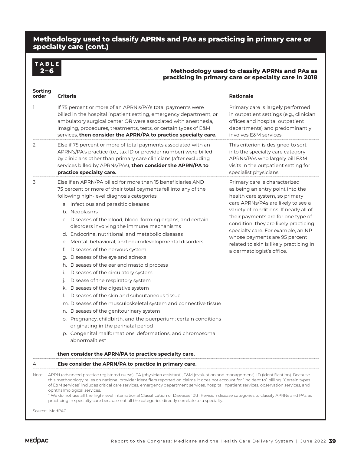## **Methodology used to classify APRNs and PAs as practicing in primary care or specialty care (cont.)**

# **TABLE**

#### **2–6 Methodology used to classify APRNs and PAs as practicing in primary care or specialty care in 2018**

| Sorting<br>order | <b>Criteria</b>                                                                                                                                                                                                                                                                                                                                                                                                                                                                                                                                                                                                                                                                                                                                                                                                                                                                                                                                                                                                                                                                                                                                          | <b>Rationale</b>                                                                                                                                                                                                                                                                                                                                                                                                   |
|------------------|----------------------------------------------------------------------------------------------------------------------------------------------------------------------------------------------------------------------------------------------------------------------------------------------------------------------------------------------------------------------------------------------------------------------------------------------------------------------------------------------------------------------------------------------------------------------------------------------------------------------------------------------------------------------------------------------------------------------------------------------------------------------------------------------------------------------------------------------------------------------------------------------------------------------------------------------------------------------------------------------------------------------------------------------------------------------------------------------------------------------------------------------------------|--------------------------------------------------------------------------------------------------------------------------------------------------------------------------------------------------------------------------------------------------------------------------------------------------------------------------------------------------------------------------------------------------------------------|
|                  | If 75 percent or more of an APRN's/PA's total payments were<br>billed in the hospital inpatient setting, emergency department, or<br>ambulatory surgical center OR were associated with anesthesia,<br>imaging, procedures, treatments, tests, or certain types of E&M<br>services, then consider the APRN/PA to practice specialty care.                                                                                                                                                                                                                                                                                                                                                                                                                                                                                                                                                                                                                                                                                                                                                                                                                | Primary care is largely performed<br>in outpatient settings (e.g., clinician<br>offices and hospital outpatient<br>departments) and predominantly<br>involves E&M services.                                                                                                                                                                                                                                        |
| 2                | Else if 75 percent or more of total payments associated with an<br>APRN's/PA's practice (i.e., tax ID or provider number) were billed<br>by clinicians other than primary care clinicians (after excluding<br>services billed by APRNs/PAs), then consider the APRN/PA to<br>practice specialty care.                                                                                                                                                                                                                                                                                                                                                                                                                                                                                                                                                                                                                                                                                                                                                                                                                                                    | This criterion is designed to sort<br>into the specialty care category<br>APRNs/PAs who largely bill E&M<br>visits in the outpatient setting for<br>specialist physicians.                                                                                                                                                                                                                                         |
| 3                | Else if an APRN/PA billed for more than 15 beneficiaries AND<br>75 percent or more of their total payments fell into any of the<br>following high-level diagnosis categories:<br>a. Infectious and parasitic diseases<br>b. Neoplasms<br>c. Diseases of the blood, blood-forming organs, and certain<br>disorders involving the immune mechanisms<br>d. Endocrine, nutritional, and metabolic diseases<br>e. Mental, behavioral, and neurodevelopmental disorders<br>Diseases of the nervous system<br>t.<br>Diseases of the eye and adnexa<br>g.<br>h. Diseases of the ear and mastoid process<br>Diseases of the circulatory system<br>i.<br>Disease of the respiratory system<br>j.<br>Diseases of the digestive system<br>k.<br>Diseases of the skin and subcutaneous tissue<br>I.<br>m. Diseases of the musculoskeletal system and connective tissue<br>n. Diseases of the genitourinary system<br>o. Pregnancy, childbirth, and the puerperium; certain conditions<br>originating in the perinatal period<br>p. Congenital malformations, deformations, and chromosomal<br>abnormalities*<br>then consider the APRN/PA to practice specialty care. | Primary care is characterized<br>as being an entry point into the<br>health care system, so primary<br>care APRNs/PAs are likely to see a<br>variety of conditions. If nearly all of<br>their payments are for one type of<br>condition, they are likely practicing<br>specialty care. For example, an NP<br>whose payments are 95 percent<br>related to skin is likely practicing in<br>a dermatologist's office. |
| 4                | Else consider the APRN/PA to practice in primary care.                                                                                                                                                                                                                                                                                                                                                                                                                                                                                                                                                                                                                                                                                                                                                                                                                                                                                                                                                                                                                                                                                                   |                                                                                                                                                                                                                                                                                                                                                                                                                    |
|                  | Note: APRN (advanced practice registered nurse), PA (physician assistant), E&M (evaluation and management), ID (identification). Because<br>this methodology relies on national provider identifiers reported on claims, it does not account for "incident to" billing. "Certain types<br>of E&M services" includes critical care services, emergency department services, hospital inpatient services, observation services, and<br>ophthalmological services.<br>* We do not use all the high-level International Classification of Diseases 10th Revision disease categories to classify APRNs and PAs as<br>practicing in specialty care because not all the categories directly correlate to a specialty.<br>Source: MedPAC.                                                                                                                                                                                                                                                                                                                                                                                                                        |                                                                                                                                                                                                                                                                                                                                                                                                                    |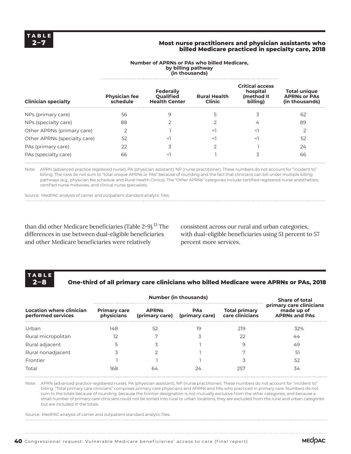#### **2–7 Most nurse practitioners and physician assistants who billed Medicare practiced in specialty care, 2018**

| <b>Clinician specialty</b>   | <b>Physician fee</b><br>schedule | Federally<br>Qualified<br><b>Health Center</b> | <b>Rural Health</b><br><b>Clinic</b> | <b>Critical access</b><br>hospital<br>(method II<br>billing) | <b>Total unique</b><br><b>APRNs or PAs</b><br>(in thousands) |  |
|------------------------------|----------------------------------|------------------------------------------------|--------------------------------------|--------------------------------------------------------------|--------------------------------------------------------------|--|
| NPs (primary care)           | 56                               | 9                                              |                                      |                                                              | 62                                                           |  |
| NPs (specialty care)         | 88                               |                                                |                                      |                                                              | 89                                                           |  |
| Other APRNs (primary care)   |                                  |                                                |                                      |                                                              |                                                              |  |
| Other APRNs (specialty care) | 52                               | $\,<\,$                                        |                                      |                                                              | 52                                                           |  |
| PAs (primary care)           | 22                               |                                                |                                      |                                                              | 24                                                           |  |
| PAs (specialty care)         | 66                               | $\,<\,$                                        |                                      |                                                              | 66                                                           |  |

# **Number of APRNs or PAs who billed Medicare,**

Note: APRN (advanced practice registered nurse), PA (physician assistant), NP (nurse practitioner). These numbers do not account for "incident to" billing. The rows do not sum to "total unique APRNs or PAs" because of rounding and the fact that clinicians can bill under multiple billing pathways (e.g., physician fee schedule and Rural Health Clinics). The "Other APRNs" categories include certified registered nurse anesthetists, certified nurse midwives, and clinical nurse specialists.

Source: MedPAC analysis of carrier and outpatient standard analytic files.

than did other Medicare beneficiaries (Table 2-9).<sup>13</sup> The differences in use between dual-eligible beneficiaries and other Medicare beneficiaries were relatively

consistent across our rural and urban categories, with dual-eligible beneficiaries using 51 percent to 57 percent more services.

# **TABLE**

## **2–8 One-third of all primary care clinicians who billed Medicare were APRNs or PAs, 2018**

|                                                |                                   | <b>Share of total</b> |                                             |                                         |                                                               |
|------------------------------------------------|-----------------------------------|-----------------------|---------------------------------------------|-----------------------------------------|---------------------------------------------------------------|
| Location where clinician<br>performed services | <b>Primary care</b><br>physicians | <b>APRNs</b>          | <b>PAs</b><br>(primary care) (primary care) | <b>Total primary</b><br>care clinicians | primary care clinicians<br>made up of<br><b>APRNs and PAs</b> |
| Urban                                          | 148                               | 52                    | 19                                          | 219                                     | 32%                                                           |
| Rural micropolitan                             | 12                                | ⇁                     |                                             | 22                                      | 44                                                            |
| Rural adjacent                                 |                                   |                       |                                             | 9                                       | 49                                                            |
| Rural nonadjacent                              |                                   |                       |                                             |                                         | 51                                                            |
| Frontier                                       |                                   |                       |                                             |                                         | 52                                                            |
| Total                                          | 168                               | 64                    |                                             | 257                                     | 34                                                            |

Note: APRN (advanced practice registered nurse), PA (physician assistant), NP (nurse practitioner). These numbers do not account for "incident to" billing. "Total primary care clinicians" comprises primary care physicians and APRNs and PAs who practiced in primary care. Numbers do not sum to the totals because of rounding, because the frontier designation is not mutually exclusive from the other categories, and because a small number of primary care clinicians could not be sorted into rural or urban locations; they are excluded from the rural and urban categories but are included in the totals.

Source: MedPAC analysis of carrier and outpatient standard analytic files.

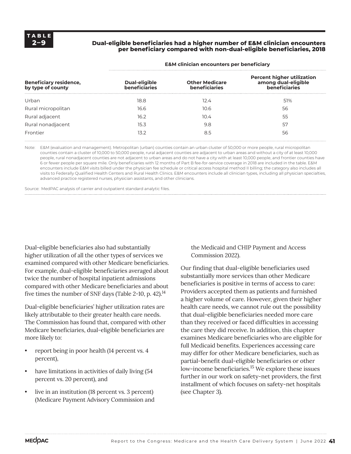### **2–9 Dual-eligible beneficiaries had a higher number of E&M clinician encounters per beneficiary compared with non-dual-eligible beneficiaries, 2018**

| <b>Beneficiary residence,</b><br>by type of county | <b>Dual-eligible</b><br><b>beneficiaries</b> | <b>Other Medicare</b><br><b>beneficiaries</b> | <b>Percent higher utilization</b><br>among dual-eligible<br>beneficiaries |
|----------------------------------------------------|----------------------------------------------|-----------------------------------------------|---------------------------------------------------------------------------|
| Urban                                              | 18.8                                         | 12.4                                          | 51%                                                                       |
| Rural micropolitan                                 | 16.6                                         | 10.6                                          | 56                                                                        |
| Rural adjacent                                     | 16.2                                         | 10.4                                          | 55                                                                        |
| Rural nonadjacent                                  | 15.3                                         | 9.8                                           | 57                                                                        |
| Frontier                                           | 13.2                                         | 8.5                                           | 56                                                                        |

#### **E&M clinician encounters per beneficiary**

Note: E&M (evaluation and management). Metropolitan (urban) counties contain an urban cluster of 50,000 or more people, rural micropolitan counties contain a cluster of 10,000 to 50,000 people, rural adjacent counties are adjacent to urban areas and without a city of at least 10,000 people, rural nonadjacent counties are not adjacent to urban areas and do not have a city with at least 10,000 people, and frontier counties have 6 or fewer people per square mile. Only beneficiaries with 12 months of Part B fee-for-service coverage in 2018 are included in the table. E&M encounters include E&M visits billed under the physician fee schedule or critical access hospital method II billing; the category also includes all visits to Federally Qualified Health Centers and Rural Health Clinics. E&M encounters include all clinician types, including all physician specialties, advanced practice registered nurses, physician assistants, and other clinicians.

Source: MedPAC analysis of carrier and outpatient standard analytic files.

Dual-eligible beneficiaries also had substantially higher utilization of all the other types of services we examined compared with other Medicare beneficiaries. For example, dual-eligible beneficiaries averaged about twice the number of hospital inpatient admissions compared with other Medicare beneficiaries and about five times the number of SNF days (Table 2-10, p. 42).<sup>14</sup>

Dual-eligible beneficiaries' higher utilization rates are likely attributable to their greater health care needs. The Commission has found that, compared with other Medicare beneficiaries, dual-eligible beneficiaries are more likely to:

- report being in poor health (14 percent vs. 4 percent),
- have limitations in activities of daily living (54) percent vs. 20 percent), and
- live in an institution (18 percent vs. 3 percent) (Medicare Payment Advisory Commission and

the Medicaid and CHIP Payment and Access Commission 2022).

Our finding that dual-eligible beneficiaries used substantially more services than other Medicare beneficiaries is positive in terms of access to care: Providers accepted them as patients and furnished a higher volume of care. However, given their higher health care needs, we cannot rule out the possibility that dual-eligible beneficiaries needed more care than they received or faced difficulties in accessing the care they did receive. In addition, this chapter examines Medicare beneficiaries who are eligible for full Medicaid benefits. Experiences accessing care may differ for other Medicare beneficiaries, such as partial-benefit dual-eligible beneficiaries or other low-income beneficiaries.15 We explore these issues further in our work on safety-net providers, the first installment of which focuses on safety-net hospitals (see Chapter 3).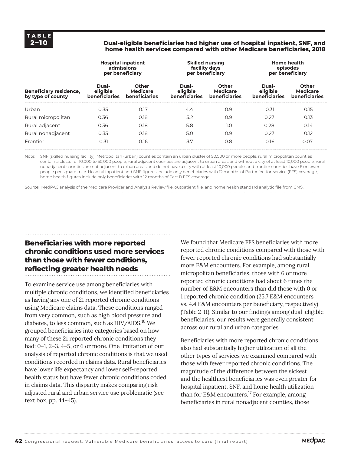#### **2–10 Dual-eligible beneficiaries had higher use of hospital inpatient, SNF, and home health services compared with other Medicare beneficiaries, 2018**

|                                                    |                                    | <b>Hospital inpatient</b><br>admissions<br>per beneficiary | <b>Skilled nursing</b><br>facility days | per beneficiary                                  | <b>Home health</b><br>episodes<br>per beneficiary |                                                  |  |
|----------------------------------------------------|------------------------------------|------------------------------------------------------------|-----------------------------------------|--------------------------------------------------|---------------------------------------------------|--------------------------------------------------|--|
| <b>Beneficiary residence,</b><br>by type of county | Dual-<br>eligible<br>beneficiaries | Other<br><b>Medicare</b><br>beneficiaries                  | Dual-<br>eligible<br>beneficiaries      | <b>Other</b><br><b>Medicare</b><br>beneficiaries | Dual-<br>eligible<br>beneficiaries                | <b>Other</b><br><b>Medicare</b><br>beneficiaries |  |
| Urban                                              | 0.35                               | 0.17                                                       | 4.4                                     | 0.9                                              | 0.31                                              | 0.15                                             |  |
| Rural micropolitan                                 | 0.36                               | 0.18                                                       | 5.2                                     | 0.9                                              | 0.27                                              | 0.13                                             |  |
| Rural adjacent                                     | 0.36                               | 0.18                                                       | 5.8                                     | 1.0                                              | 0.28                                              | 0.14                                             |  |
| Rural nonadjacent                                  | 0.35                               | 0.18                                                       | 5.0                                     | O.9                                              | 0.27                                              | 0.12                                             |  |
| Frontier                                           | 0.31                               | 0.16                                                       | 3.7                                     | 0.8                                              | 0.16                                              | 0.07                                             |  |

Note: SNF (skilled nursing facility). Metropolitan (urban) counties contain an urban cluster of 50,000 or more people, rural micropolitan counties contain a cluster of 10,000 to 50,000 people, rural adjacent counties are adjacent to urban areas and without a city of at least 10,000 people, rural nonadjacent counties are not adjacent to urban areas and do not have a city with at least 10,000 people, and frontier counties have 6 or fewer people per square mile. Hospital inpatient and SNF figures include only beneficiaries with 12 months of Part A fee-for-service (FFS) coverage; home health figures include only beneficiaries with 12 months of Part B FFS coverage.

Source: MedPAC analysis of the Medicare Provider and Analysis Review file, outpatient file, and home health standard analytic file from CMS.

# **Beneficiaries with more reported chronic conditions used more services than those with fewer conditions, reflecting greater health needs**

To examine service use among beneficiaries with multiple chronic conditions, we identified beneficiaries as having any one of 21 reported chronic conditions using Medicare claims data. These conditions ranged from very common, such as high blood pressure and diabetes, to less common, such as HIV/AIDS.<sup>16</sup> We grouped beneficiaries into categories based on how many of these 21 reported chronic conditions they had: 0-1, 2-3, 4-5, or 6 or more. One limitation of our analysis of reported chronic conditions is that we used conditions recorded in claims data. Rural beneficiaries have lower life expectancy and lower self-reported health status but have fewer chronic conditions coded in claims data. This disparity makes comparing riskadjusted rural and urban service use problematic (see text box, pp. 44–45).

We found that Medicare FFS beneficiaries with more reported chronic conditions compared with those with fewer reported chronic conditions had substantially more E&M encounters. For example, among rural micropolitan beneficiaries, those with 6 or more reported chronic conditions had about 6 times the number of E&M encounters than did those with 0 or 1 reported chronic condition (25.7 E&M encounters vs. 4.4 E&M encounters per beneficiary, respectively) (Table 2-11). Similar to our findings among dual-eligible beneficiaries, our results were generally consistent across our rural and urban categories.

Beneficiaries with more reported chronic conditions also had substantially higher utilization of all the other types of services we examined compared with those with fewer reported chronic conditions. The magnitude of the difference between the sickest and the healthiest beneficiaries was even greater for hospital inpatient, SNF, and home health utilization than for E&M encounters.<sup>17</sup> For example, among beneficiaries in rural nonadjacent counties, those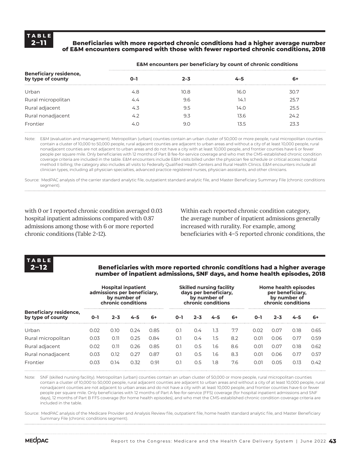### **2–11 Beneficiaries with more reported chronic conditions had a higher average number of E&M encounters compared with those with fewer reported chronic conditions, 2018**

| <b>Beneficiary residence,</b><br>by type of county | റ–  | 2–3  |      | -6   |  |
|----------------------------------------------------|-----|------|------|------|--|
| Urban                                              | 4.8 | 10.8 | 16.O | 30.7 |  |
| Rural micropolitan                                 | 44  | 9.6  | 14.  | 25.7 |  |
| Rural adjacent                                     | 4.3 | 9.5  | 14.O | 25.5 |  |
| Rural nonadjacent                                  | ムフ  | 9.3  | 13.6 | 24.2 |  |
| Frontier                                           |     | 9.0  | 13.5 | 23.3 |  |

#### **E&M encounters per beneficiary by count of chronic conditions**

Note: E&M (evaluation and management). Metropolitan (urban) counties contain an urban cluster of 50,000 or more people, rural micropolitan counties contain a cluster of 10,000 to 50,000 people, rural adjacent counties are adjacent to urban areas and without a city of at least 10,000 people, rural nonadjacent counties are not adjacent to urban areas and do not have a city with at least 10,000 people, and frontier counties have 6 or fewer people per square mile. Only beneficiaries with 12 months of Part B fee-for-service coverage and who met the CMS-established chronic condition coverage criteria are included in the table. E&M encounters include E&M visits billed under the physician fee schedule or critical access hospital method II billing; the category also includes all visits to Federally Qualified Health Centers and Rural Health Clinics. E&M encounters include all clinician types, including all physician specialties, advanced practice registered nurses, physician assistants, and other clinicians.

Source: MedPAC analysis of the carrier standard analytic file, outpatient standard analytic file, and Master Beneficiary Summary File (chronic conditions seament).

with 0 or 1 reported chronic condition averaged 0.03 hospital inpatient admissions compared with 0.87 admissions among those with 6 or more reported chronic conditions (Table 2-12).

Within each reported chronic condition category, the average number of inpatient admissions generally increased with rurality. For example, among beneficiaries with 4–5 reported chronic conditions, the



#### **2–12 Beneficiaries with more reported chronic conditions had a higher average number of inpatient admissions, SNF days, and home health episodes, 2018**

|                                                    |      | <b>Hospital inpatient</b><br>admissions per beneficiary,<br>by number of<br>chronic conditions |      |      |     | <b>Skilled nursing facility</b><br>days per beneficiary,<br>by number of<br>chronic conditions |     |     | Home health episodes<br>per beneficiary.<br>by number of<br>chronic conditions |      |      |      |
|----------------------------------------------------|------|------------------------------------------------------------------------------------------------|------|------|-----|------------------------------------------------------------------------------------------------|-----|-----|--------------------------------------------------------------------------------|------|------|------|
| <b>Beneficiary residence,</b><br>by type of county | O-1  | 2–3                                                                                            |      | 6+   | 0–1 | 2–3                                                                                            |     | 6+  | <u>ດ–າ</u>                                                                     | 2–3  |      | 6+   |
| Urban                                              | 0.02 | 0.10                                                                                           | 0.24 | 0.85 | O.1 | 0.4                                                                                            | 1.3 | 7.7 | 0.02                                                                           | 0.07 | 0.18 | 0.65 |
| Rural micropolitan                                 | 0.03 | 0.11                                                                                           | 0.25 | 0.84 | O.1 | 0.4                                                                                            | 1.5 | 8.2 | 0.01                                                                           | 0.06 | 0.17 | 0.59 |
| Rural adjacent                                     | 0.02 | 0.11                                                                                           | 0.26 | 0.85 | O.1 | 0.5                                                                                            | 1.6 | 8.6 | 0.01                                                                           | 0.07 | 0.18 | 0.62 |
| Rural nonadjacent                                  | 0.03 | 0.12                                                                                           | 0.27 | 0.87 | O.1 | 0.5                                                                                            | 1.6 | 8.3 | 0.01                                                                           | 0.06 | 0.17 | 0.57 |
| Frontier                                           | 0.03 | 0.14                                                                                           | 0.32 | 0.91 | O.7 | 0.5                                                                                            | 1.8 | 7.6 | 0.01                                                                           | 0.05 | 0.13 | 0.42 |

Note: SNF (skilled nursing facility). Metropolitan (urban) counties contain an urban cluster of 50,000 or more people, rural micropolitan counties contain a cluster of 10,000 to 50,000 people, rural adjacent counties are adjacent to urban areas and without a city of at least 10,000 people, rural nonadjacent counties are not adjacent to urban areas and do not have a city with at least 10,000 people, and frontier counties have 6 or fewer people per square mile. Only beneficiaries with 12 months of Part A fee-for-service (FFS) coverage (for hospital inpatient admissions and SNF days), 12 months of Part B FFS coverage (for home health episodes), and who met the CMS-established chronic condition coverage criteria are included in the table.

Source: MedPAC analysis of the Medicare Provider and Analysis Review file, outpatient file, home health standard analytic file, and Master Beneficiary Summary File (chronic conditions segment).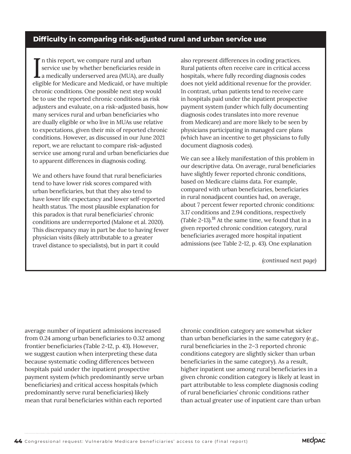## **Difficulty in comparing risk-adjusted rural and urban service use**

In this report, we compare rural and urban<br>service use by whether beneficiaries reside in<br>a medically underserved area (MUA), are dually<br>alizible for Medicare and Medicaid, ar baye multipl n this report, we compare rural and urban service use by whether beneficiaries reside in eligible for Medicare and Medicaid, or have multiple chronic conditions. One possible next step would be to use the reported chronic conditions as risk adjusters and evaluate, on a risk-adjusted basis, how many services rural and urban beneficiaries who are dually eligible or who live in MUAs use relative to expectations, given their mix of reported chronic conditions. However, as discussed in our June 2021 report, we are reluctant to compare risk-adjusted service use among rural and urban beneficiaries due to apparent differences in diagnosis coding.

We and others have found that rural beneficiaries tend to have lower risk scores compared with urban beneficiaries, but that they also tend to have lower life expectancy and lower self-reported health status. The most plausible explanation for this paradox is that rural beneficiaries' chronic conditions are underreported (Malone et al. 2020). This discrepancy may in part be due to having fewer physician visits (likely attributable to a greater travel distance to specialists), but in part it could

also represent differences in coding practices. Rural patients often receive care in critical access hospitals, where fully recording diagnosis codes does not yield additional revenue for the provider. In contrast, urban patients tend to receive care in hospitals paid under the inpatient prospective payment system (under which fully documenting diagnosis codes translates into more revenue from Medicare) and are more likely to be seen by physicians participating in managed care plans (which have an incentive to get physicians to fully document diagnosis codes).

We can see a likely manifestation of this problem in our descriptive data. On average, rural beneficiaries have slightly fewer reported chronic conditions, based on Medicare claims data. For example, compared with urban beneficiaries, beneficiaries in rural nonadjacent counties had, on average, about 7 percent fewer reported chronic conditions: 3.17 conditions and 2.94 conditions, respectively (Table 2-13).18 At the same time, we found that in a given reported chronic condition category, rural beneficiaries averaged more hospital inpatient admissions (see Table 2-12, p. 43). One explanation

*(continued next page)*

average number of inpatient admissions increased from 0.24 among urban beneficiaries to 0.32 among frontier beneficiaries (Table 2-12, p. 43). However, we suggest caution when interpreting these data because systematic coding differences between hospitals paid under the inpatient prospective payment system (which predominantly serve urban beneficiaries) and critical access hospitals (which predominantly serve rural beneficiaries) likely mean that rural beneficiaries within each reported

chronic condition category are somewhat sicker than urban beneficiaries in the same category (e.g., rural beneficiaries in the 2–3 reported chronic conditions category are slightly sicker than urban beneficiaries in the same category). As a result, higher inpatient use among rural beneficiaries in a given chronic condition category is likely at least in part attributable to less complete diagnosis coding of rural beneficiaries' chronic conditions rather than actual greater use of inpatient care than urban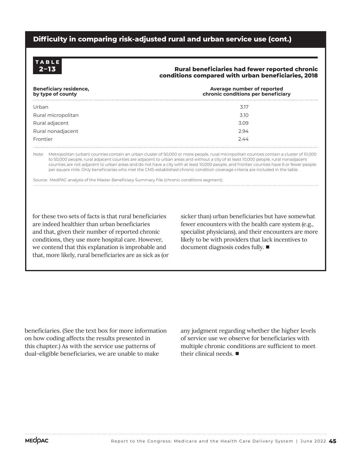## **Difficulty in comparing risk-adjusted rural and urban service use (cont.)**



#### **2–13 Rural beneficiaries had fewer reported chronic conditions compared with urban beneficiaries, 2018**

| <b>Beneficiary residence,</b><br>by type of county | Average number of reported<br>chronic conditions per beneficiary |
|----------------------------------------------------|------------------------------------------------------------------|
| Urban                                              | 3.17                                                             |
| Rural micropolitan                                 | 3.10                                                             |
| Rural adjacent                                     | 3.09                                                             |
| Rural nonadjacent                                  | 2.94                                                             |
| Frontier                                           | 244                                                              |

Note: Metropolitan (urban) counties contain an urban cluster of 50,000 or more people, rural micropolitan counties contain a cluster of 10,000 to 50,000 people, rural adjacent counties are adjacent to urban areas and without a city of at least 10,000 people, rural nonadjacent counties are not adjacent to urban areas and do not have a city with at least 10,000 people, and frontier counties have 6 or fewer people per square mile. Only beneficiaries who met the CMS-established chronic condition coverage criteria are included in the table.

Source: MedPAC analysis of the Master Beneficiary Summary File (chronic conditions segment).

for these two sets of facts is that rural beneficiaries are indeed healthier than urban beneficiaries and that, given their number of reported chronic conditions, they use more hospital care. However, we contend that this explanation is improbable and that, more likely, rural beneficiaries are as sick as (or sicker than) urban beneficiaries but have somewhat fewer encounters with the health care system (e.g., specialist physicians), and their encounters are more likely to be with providers that lack incentives to document diagnosis codes fully. ■

beneficiaries. (See the text box for more information on how coding affects the results presented in this chapter.) As with the service use patterns of dual-eligible beneficiaries, we are unable to make

any judgment regarding whether the higher levels of service use we observe for beneficiaries with multiple chronic conditions are sufficient to meet their clinical needs. ■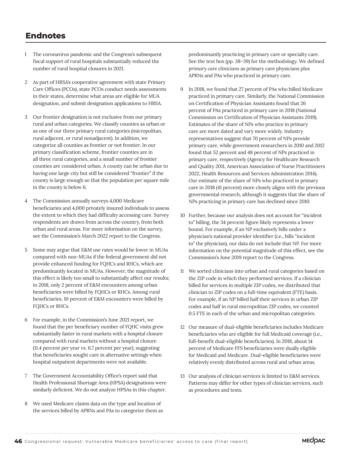# **Endnotes**

- 1 The coronavirus pandemic and the Congress's subsequent fiscal support of rural hospitals substantially reduced the number of rural hospital closures in 2021.
- 2 As part of HRSA's cooperative agreement with state Primary Care Offices (PCOs), state PCOs conduct needs assessments in their states, determine what areas are eligible for MUA designation, and submit designation applications to HRSA.
- 3 Our frontier designation is not exclusive from our primary rural and urban categories. We classify counties as urban or as one of our three primary rural categories (micropolitan, rural adjacent, or rural nonadjacent). In addition, we categorize all counties as frontier or not frontier. In our primary classification scheme, frontier counties are in all three rural categories, and a small number of frontier counties are considered urban. A county can be urban due to having one large city but still be considered "frontier" if the county is large enough so that the population per square mile in the county is below 6.
- 4 The Commission annually surveys 4,000 Medicare beneficiaries and 4,000 privately insured individuals to assess the extent to which they had difficulty accessing care. Survey respondents are drawn from across the country, from both urban and rural areas. For more information on the survey, see the Commission's March 2022 report to the Congress.
- 5 Some may argue that E&M use rates would be lower in MUAs compared with non-MUAs if the federal government did not provide enhanced funding for FQHCs and RHCs, which are predominantly located in MUAs. However, the magnitude of this effect is likely too small to substantially affect our results; in 2018, only 2 percent of E&M encounters among urban beneficiaries were billed by FQHCs or RHCs. Among rural beneficiaries, 10 percent of E&M encounters were billed by FQHCs or RHCs.
- 6 For example, in the Commission's June 2021 report, we found that the per beneficiary number of FQHC visits grew substantially faster in rural markets with a hospital closure compared with rural markets without a hospital closure (11.4 percent per year vs. 6.7 percent per year), suggesting that beneficiaries sought care in alternative settings when hospital outpatient departments were not available.
- 7 The Government Accountability Office's report said that Health Professional Shortage Area (HPSA) designations were similarly deficient. We do not analyze HPSAs in this chapter.
- 8 We used Medicare claims data on the type and location of the services billed by APRNs and PAs to categorize them as

predominantly practicing in primary care or specialty care. See the text box (pp. 38–39) for the methodology. We defined *primary care clinicians* as primary care physicians plus APRNs and PAs who practiced in primary care.

- 9 In 2018, we found that 27 percent of PAs who billed Medicare practiced in primary care. Similarly, the National Commission on Certification of Physician Assistants found that 26 percent of PAs practiced in primary care in 2018 (National Commission on Certification of Physician Assistants 2019). Estimates of the share of NPs who practice in primary care are more dated and vary more widely. Industry representatives suggest that 70 percent of NPs provide primary care, while government researchers in 2010 and 2012 found that 52 percent and 48 percent of NPs practiced in primary care, respectively (Agency for Healthcare Research and Quality 2011, American Association of Nurse Practitioners 2022, Health Resources and Services Administration 2014). Our estimate of the share of NPs who practiced in primary care in 2018 (41 percent) more closely aligns with the previous governmental research, although it suggests that the share of NPs practicing in primary care has declined since 2010.
- 10 Further, because our analysis does not account for "incident to" billing, the 34 percent figure likely represents a lower bound. For example, if an NP exclusively bills under a physician's national provider identifier (i.e., bills "incident to" the physician), our data do not include that NP. For more information on the potential magnitude of this effect, see the Commission's June 2019 report to the Congress.
- 11 We sorted clinicians into urban and rural categories based on the ZIP code in which they performed services. If a clinician billed for services in multiple ZIP codes, we distributed that clinician to ZIP codes on a full-time equivalent (FTE) basis. For example, if an NP billed half their services in urban ZIP codes and half in rural micropolitan ZIP codes, we counted 0.5 FTE in each of the urban and micropolitan categories.
- 12 Our measure of dual-eligible beneficiaries includes Medicare beneficiaries who are eligible for full Medicaid coverage (i.e., full-benefit dual-eligible beneficiaries). In 2018, about 14 percent of Medicare FFS beneficiaries were dually eligible for Medicaid and Medicare. Dual-eligible beneficiaries were relatively evenly distributed across rural and urban areas.
- 13 Our analysis of clinician services is limited to E&M services. Patterns may differ for other types of clinician services, such as procedures and tests.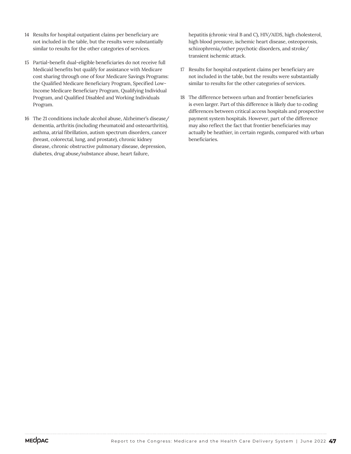- 14 Results for hospital outpatient claims per beneficiary are not included in the table, but the results were substantially similar to results for the other categories of services.
- 15 Partial-benefit dual-eligible beneficiaries do not receive full Medicaid benefits but qualify for assistance with Medicare cost sharing through one of four Medicare Savings Programs: the Qualified Medicare Beneficiary Program, Specified Low-Income Medicare Beneficiary Program, Qualifying Individual Program, and Qualified Disabled and Working Individuals Program.
- 16 The 21 conditions include alcohol abuse, Alzheimer's disease/ dementia, arthritis (including rheumatoid and osteoarthritis), asthma, atrial fibrillation, autism spectrum disorders, cancer (breast, colorectal, lung, and prostate), chronic kidney disease, chronic obstructive pulmonary disease, depression, diabetes, drug abuse/substance abuse, heart failure,

hepatitis (chronic viral B and C), HIV/AIDS, high cholesterol, high blood pressure, ischemic heart disease, osteoporosis, schizophrenia/other psychotic disorders, and stroke/ transient ischemic attack.

- 17 Results for hospital outpatient claims per beneficiary are not included in the table, but the results were substantially similar to results for the other categories of services.
- 18 The difference between urban and frontier beneficiaries is even larger. Part of this difference is likely due to coding differences between critical access hospitals and prospective payment system hospitals. However, part of the difference may also reflect the fact that frontier beneficiaries may actually be heathier, in certain regards, compared with urban beneficiaries.